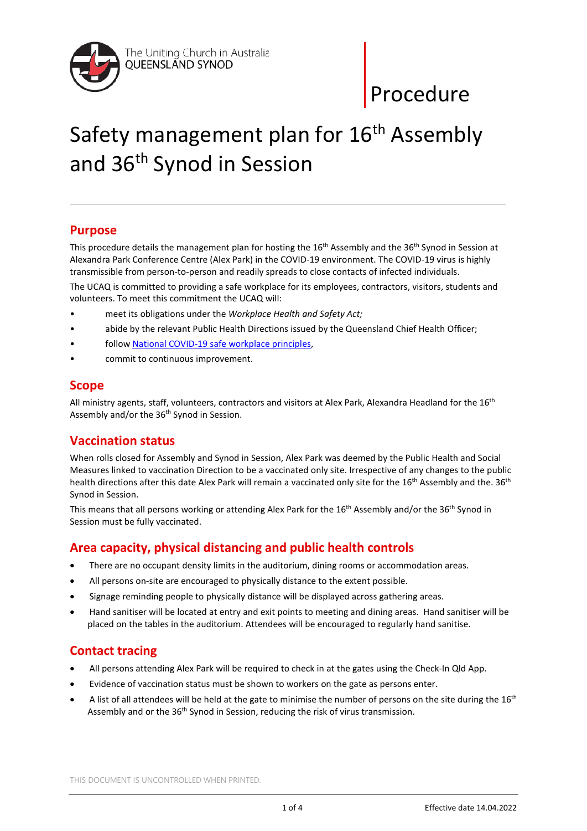

# Safety management plan for 16<sup>th</sup> Assembly and 36th Synod in Session

## **Purpose**

This procedure details the management plan for hosting the 16<sup>th</sup> Assembly and the 36<sup>th</sup> Synod in Session at Alexandra Park Conference Centre (Alex Park) in the COVID-19 environment. The COVID-19 virus is highly transmissible from person-to-person and readily spreads to close contacts of infected individuals.

The UCAQ is committed to providing a safe workplace for its employees, contractors, visitors, students and volunteers. To meet this commitment the UCAQ will:

- meet its obligations under the *Workplace Health and Safety Act;*
- abide by the relevant Public Health Directions issued by the Queensland Chief Health Officer;
- follo[w National COVID-19 safe workplace principles,](https://www.safeworkaustralia.gov.au/sites/default/files/2020-04/National%20COVID-19%20safe%20workplace%20principles%20-%2024%20April_1.pdf)
- commit to continuous improvement.

## **Scope**

All ministry agents, staff, volunteers, contractors and visitors at Alex Park, Alexandra Headland for the 16<sup>th</sup> Assembly and/or the 36<sup>th</sup> Synod in Session.

# **Vaccination status**

When rolls closed for Assembly and Synod in Session, Alex Park was deemed by the Public Health and Social Measures linked to vaccination Direction to be a vaccinated only site. Irrespective of any changes to the public health directions after this date Alex Park will remain a vaccinated only site for the 16<sup>th</sup> Assembly and the. 36<sup>th</sup> Synod in Session.

This means that all persons working or attending Alex Park for the 16<sup>th</sup> Assembly and/or the 36<sup>th</sup> Synod in Session must be fully vaccinated.

# **Area capacity, physical distancing and public health controls**

- There are no occupant density limits in the auditorium, dining rooms or accommodation areas.
- All persons on-site are encouraged to physically distance to the extent possible.
- Signage reminding people to physically distance will be displayed across gathering areas.
- Hand sanitiser will be located at entry and exit points to meeting and dining areas. Hand sanitiser will be placed on the tables in the auditorium. Attendees will be encouraged to regularly hand sanitise.

# **Contact tracing**

- All persons attending Alex Park will be required to check in at the gates using the Check-In Qld App.
- Evidence of vaccination status must be shown to workers on the gate as persons enter.
- A list of all attendees will be held at the gate to minimise the number of persons on the site during the  $16<sup>th</sup>$ Assembly and or the 36<sup>th</sup> Synod in Session, reducing the risk of virus transmission.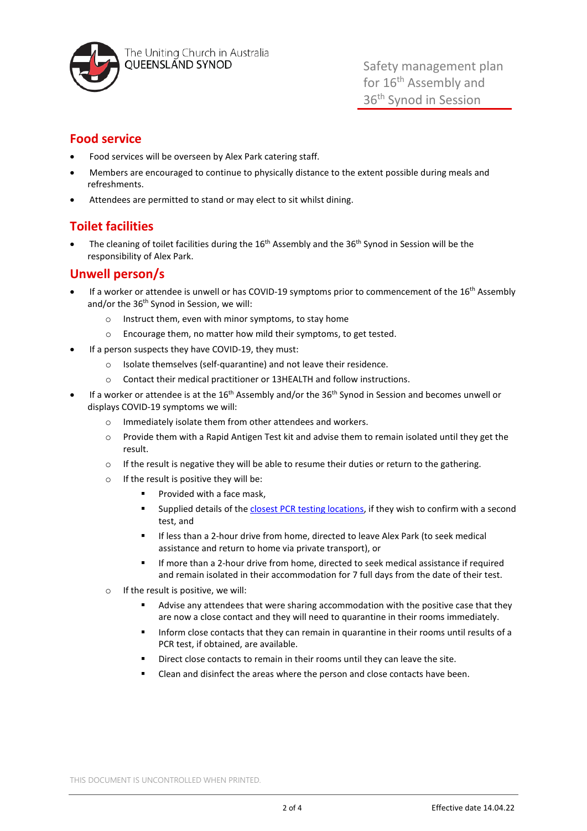

The Uniting Church in Australia QUEENSLAND SYNOD

Safety management plan for 16<sup>th</sup> Assembly and 36<sup>th</sup> Synod in Session

# **Food service**

- Food services will be overseen by Alex Park catering staff.
- Members are encouraged to continue to physically distance to the extent possible during meals and refreshments.
- Attendees are permitted to stand or may elect to sit whilst dining.

# **Toilet facilities**

The cleaning of toilet facilities during the  $16<sup>th</sup>$  Assembly and the 36<sup>th</sup> Synod in Session will be the responsibility of Alex Park.

## **Unwell person/s**

- If a worker or attendee is unwell or has COVID-19 symptoms prior to commencement of the 16<sup>th</sup> Assembly and/or the 36<sup>th</sup> Synod in Session, we will:
	- o Instruct them, even with minor symptoms, to stay home
	- o Encourage them, no matter how mild their symptoms, to get tested.
- If a person suspects they have COVID-19, they must:
	- o Isolate themselves (self-quarantine) and not leave their residence.
	- o Contact their medical practitioner or 13HEALTH and follow instructions.
- If a worker or attendee is at the  $16<sup>th</sup>$  Assembly and/or the  $36<sup>th</sup>$  Synod in Session and becomes unwell or displays COVID-19 symptoms we will:
	- o Immediately isolate them from other attendees and workers.
	- o Provide them with a Rapid Antigen Test kit and advise them to remain isolated until they get the result.
	- $\circ$  If the result is negative they will be able to resume their duties or return to the gathering.
	- $\circ$  If the result is positive they will be:
		- **Provided with a face mask.**
		- **Supplied details of the [closest PCR testing locations,](https://www.qld.gov.au/health/conditions/health-alerts/coronavirus-covid-19/stay-informed/exposed-to-covid/covid-testing-in-queensland/covid-testing-fever-clinics) if they wish to confirm with a second** test, and
		- If less than a 2-hour drive from home, directed to leave Alex Park (to seek medical assistance and return to home via private transport), or
		- If more than a 2-hour drive from home, directed to seek medical assistance if required and remain isolated in their accommodation for 7 full days from the date of their test.
	- $\circ$  If the result is positive, we will:
		- **Advise any attendees that were sharing accommodation with the positive case that they** are now a close contact and they will need to quarantine in their rooms immediately.
		- Inform close contacts that they can remain in quarantine in their rooms until results of a PCR test, if obtained, are available.
		- Direct close contacts to remain in their rooms until they can leave the site.
		- Clean and disinfect the areas where the person and close contacts have been.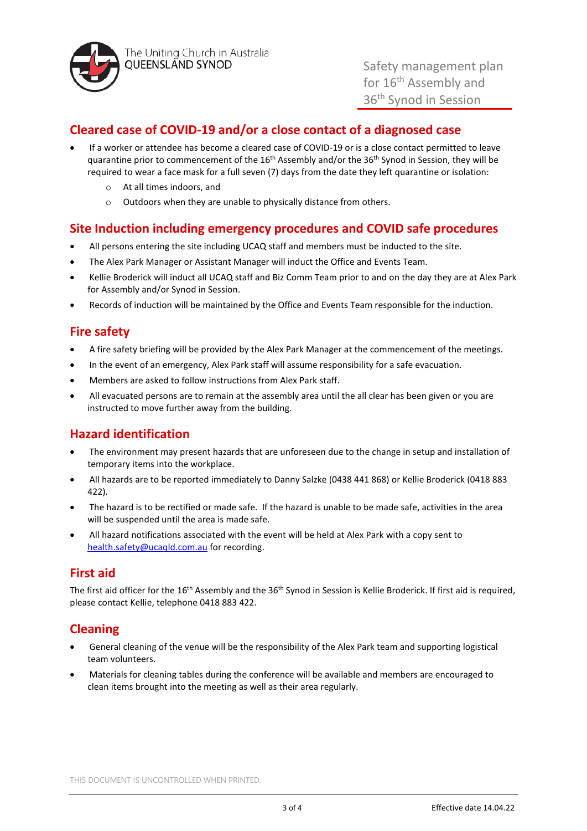

# **Cleared case of COVID-19 and/or a close contact of a diagnosed case**

- If a worker or attendee has become a cleared case of COVID-19 or is a close contact permitted to leave quarantine prior to commencement of the 16<sup>th</sup> Assembly and/or the 36<sup>th</sup> Synod in Session, they will be required to wear a face mask for a full seven (7) days from the date they left quarantine or isolation:
	- o At all times indoors, and
	- o Outdoors when they are unable to physically distance from others.

## **Site Induction including emergency procedures and COVID safe procedures**

- All persons entering the site including UCAQ staff and members must be inducted to the site.
- The Alex Park Manager or Assistant Manager will induct the Office and Events Team.
- Kellie Broderick will induct all UCAQ staff and Biz Comm Team prior to and on the day they are at Alex Park for Assembly and/or Synod in Session.
- Records of induction will be maintained by the Office and Events Team responsible for the induction.

# **Fire safety**

- A fire safety briefing will be provided by the Alex Park Manager at the commencement of the meetings.
- In the event of an emergency, Alex Park staff will assume responsibility for a safe evacuation.
- Members are asked to follow instructions from Alex Park staff.
- All evacuated persons are to remain at the assembly area until the all clear has been given or you are instructed to move further away from the building.

# **Hazard identification**

- The environment may present hazards that are unforeseen due to the change in setup and installation of temporary items into the workplace.
- All hazards are to be reported immediately to Danny Salzke (0438 441 868) or Kellie Broderick (0418 883 422).
- The hazard is to be rectified or made safe. If the hazard is unable to be made safe, activities in the area will be suspended until the area is made safe.
- All hazard notifications associated with the event will be held at Alex Park with a copy sent to [health.safety@ucaqld.com.au](mailto:health.safety@ucaqld.com.au) for recording.

## **First aid**

The first aid officer for the 16<sup>th</sup> Assembly and the 36<sup>th</sup> Synod in Session is Kellie Broderick. If first aid is required, please contact Kellie, telephone 0418 883 422.

# **Cleaning**

- General cleaning of the venue will be the responsibility of the Alex Park team and supporting logistical team volunteers.
- Materials for cleaning tables during the conference will be available and members are encouraged to clean items brought into the meeting as well as their area regularly.